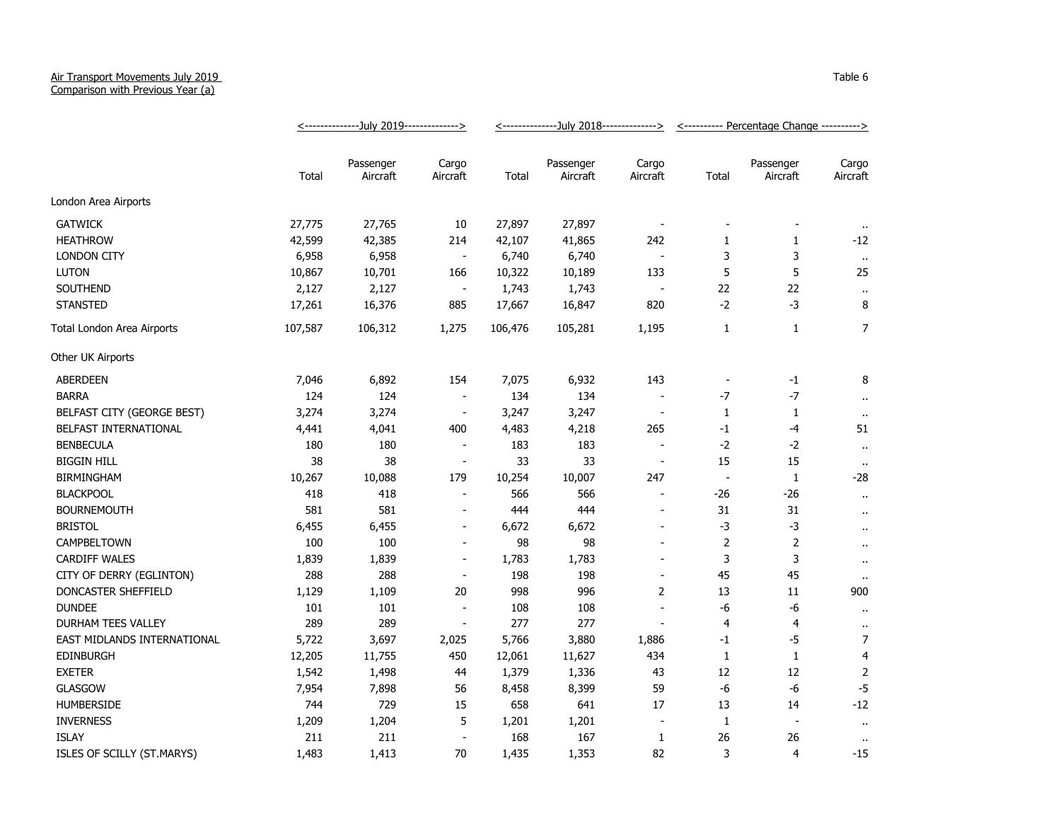## Air Transport Movements July 2019 Comparison with Previous Year (a)

|                             | <---------------July 2019--------------> |                       |                          | <---------------July 2018--------------> |                       |                          | <---------- Percentage Change ----------> |                          |                      |
|-----------------------------|------------------------------------------|-----------------------|--------------------------|------------------------------------------|-----------------------|--------------------------|-------------------------------------------|--------------------------|----------------------|
|                             | Total                                    | Passenger<br>Aircraft | Cargo<br>Aircraft        | Total                                    | Passenger<br>Aircraft | Cargo<br>Aircraft        | Total                                     | Passenger<br>Aircraft    | Cargo<br>Aircraft    |
| London Area Airports        |                                          |                       |                          |                                          |                       |                          |                                           |                          |                      |
| <b>GATWICK</b>              | 27,775                                   | 27,765                | 10                       | 27,897                                   | 27,897                |                          |                                           |                          |                      |
| <b>HEATHROW</b>             | 42,599                                   | 42,385                | 214                      | 42,107                                   | 41,865                | 242                      | 1                                         | 1                        | $-12$                |
| <b>LONDON CITY</b>          | 6,958                                    | 6,958                 | $\blacksquare$           | 6,740                                    | 6,740                 |                          | 3                                         | 3                        | $\sim$               |
| <b>LUTON</b>                | 10,867                                   | 10,701                | 166                      | 10,322                                   | 10,189                | 133                      | 5                                         | 5                        | 25                   |
| SOUTHEND                    | 2,127                                    | 2,127                 | $\blacksquare$           | 1,743                                    | 1,743                 |                          | 22                                        | 22                       | $\ddot{\phantom{1}}$ |
| <b>STANSTED</b>             | 17,261                                   | 16,376                | 885                      | 17,667                                   | 16,847                | 820                      | $-2$                                      | $-3$                     | 8                    |
| Total London Area Airports  | 107,587                                  | 106,312               | 1,275                    | 106,476                                  | 105,281               | 1,195                    | 1                                         | $\mathbf{1}$             | $\overline{7}$       |
| Other UK Airports           |                                          |                       |                          |                                          |                       |                          |                                           |                          |                      |
| <b>ABERDEEN</b>             | 7,046                                    | 6,892                 | 154                      | 7,075                                    | 6,932                 | 143                      |                                           | $-1$                     | 8                    |
| <b>BARRA</b>                | 124                                      | 124                   | $\blacksquare$           | 134                                      | 134                   |                          | -7                                        | $-7$                     | $\bullet$ .          |
| BELFAST CITY (GEORGE BEST)  | 3,274                                    | 3,274                 | $\blacksquare$           | 3,247                                    | 3,247                 | $\overline{\phantom{a}}$ | $\mathbf{1}$                              | 1                        | $\cdot$              |
| BELFAST INTERNATIONAL       | 4,441                                    | 4,041                 | 400                      | 4,483                                    | 4,218                 | 265                      | $-1$                                      | -4                       | 51                   |
| <b>BENBECULA</b>            | 180                                      | 180                   | $\blacksquare$           | 183                                      | 183                   | $\overline{\phantom{a}}$ | $-2$                                      | $-2$                     | $\bullet$ .          |
| <b>BIGGIN HILL</b>          | 38                                       | 38                    | $\blacksquare$           | 33                                       | 33                    | $\overline{\phantom{a}}$ | 15                                        | 15                       | $\sim$               |
| <b>BIRMINGHAM</b>           | 10,267                                   | 10,088                | 179                      | 10,254                                   | 10,007                | 247                      | $\overline{\phantom{a}}$                  | $\mathbf{1}$             | $-28$                |
| <b>BLACKPOOL</b>            | 418                                      | 418                   | $\overline{\phantom{a}}$ | 566                                      | 566                   | $\overline{\phantom{a}}$ | -26                                       | -26                      | $\bullet$ .          |
| <b>BOURNEMOUTH</b>          | 581                                      | 581                   | $\blacksquare$           | 444                                      | 444                   | $\overline{\phantom{a}}$ | 31                                        | 31                       | $\sim$               |
| <b>BRISTOL</b>              | 6,455                                    | 6,455                 | $\overline{\phantom{a}}$ | 6,672                                    | 6,672                 |                          | $-3$                                      | $-3$                     | $\cdot$ .            |
| CAMPBELTOWN                 | 100                                      | 100                   |                          | 98                                       | 98                    |                          | 2                                         | $\overline{2}$           | $\bullet$            |
| CARDIFF WALES               | 1,839                                    | 1,839                 |                          | 1,783                                    | 1,783                 |                          | 3                                         | 3                        | $\bullet$ .          |
| CITY OF DERRY (EGLINTON)    | 288                                      | 288                   |                          | 198                                      | 198                   |                          | 45                                        | 45                       |                      |
| DONCASTER SHEFFIELD         | 1,129                                    | 1,109                 | 20                       | 998                                      | 996                   | $\overline{2}$           | 13                                        | 11                       | 900                  |
| <b>DUNDEE</b>               | 101                                      | 101                   | $\overline{\phantom{a}}$ | 108                                      | 108                   |                          | -6                                        | -6                       | $\bullet$ .          |
| <b>DURHAM TEES VALLEY</b>   | 289                                      | 289                   | $\overline{a}$           | 277                                      | 277                   |                          | 4                                         | 4                        | $\cdot$ .            |
| EAST MIDLANDS INTERNATIONAL | 5,722                                    | 3,697                 | 2,025                    | 5,766                                    | 3,880                 | 1,886                    | -1                                        | -5                       | $\overline{7}$       |
| <b>EDINBURGH</b>            | 12,205                                   | 11,755                | 450                      | 12,061                                   | 11,627                | 434                      | $\mathbf{1}$                              | $\mathbf{1}$             | $\overline{4}$       |
| <b>EXETER</b>               | 1,542                                    | 1,498                 | 44                       | 1,379                                    | 1,336                 | 43                       | 12                                        | 12                       | $\overline{2}$       |
| <b>GLASGOW</b>              | 7,954                                    | 7,898                 | 56                       | 8,458                                    | 8,399                 | 59                       | -6                                        | -6                       | $-5$                 |
| <b>HUMBERSIDE</b>           | 744                                      | 729                   | 15                       | 658                                      | 641                   | 17                       | 13                                        | 14                       | $-12$                |
| <b>INVERNESS</b>            | 1,209                                    | 1,204                 | 5                        | 1,201                                    | 1,201                 |                          | $\mathbf{1}$                              | $\overline{\phantom{a}}$ | $\bullet$ .          |
| <b>ISLAY</b>                | 211                                      | 211                   | $\overline{\phantom{a}}$ | 168                                      | 167                   | 1                        | 26                                        | 26                       | $\cdot$              |
| ISLES OF SCILLY (ST.MARYS)  | 1,483                                    | 1,413                 | 70                       | 1,435                                    | 1,353                 | 82                       | 3                                         | $\overline{4}$           | $-15$                |